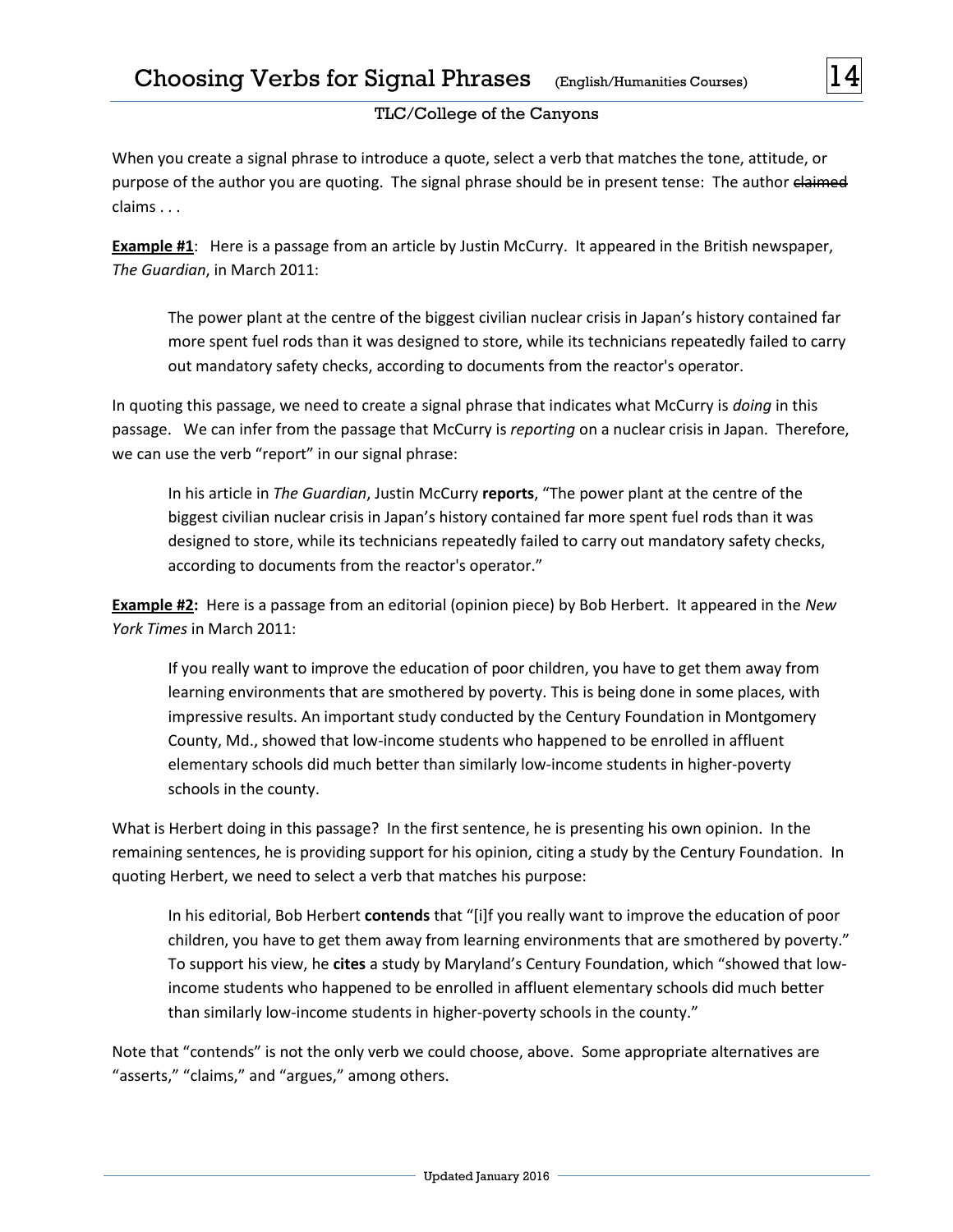## TLC/College of the Canyons

When you create a signal phrase to introduce a quote, select a verb that matches the tone, attitude, or purpose of the author you are quoting. The signal phrase should be in present tense: The author claimed claims . . .

**Example #1**: Here is a passage from an article by Justin McCurry. It appeared in the British newspaper, *The Guardian*, in March 2011:

The power plant at the centre of the biggest civilian nuclear crisis in Japan's history contained far more spent fuel rods than it was designed to store, while its technicians repeatedly failed to carry out mandatory safety checks, according to documents from the reactor's operator.

In quoting this passage, we need to create a signal phrase that indicates what McCurry is *doing* in this passage. We can infer from the passage that McCurry is *reporting* on a nuclear crisis in Japan. Therefore, we can use the verb "report" in our signal phrase:

In his article in *The Guardian*, Justin McCurry **reports**, "The power plant at the centre of the biggest civilian nuclear crisis in Japan's history contained far more spent fuel rods than it was designed to store, while its technicians repeatedly failed to carry out mandatory safety checks, according to documents from the reactor's operator."

**Example #2:** Here is a passage from an editorial (opinion piece) by Bob Herbert. It appeared in the *New York Times* in March 2011:

If you really want to improve the education of poor children, you have to get them away from learning environments that are smothered by poverty. This is being done in some places, with impressive results. An important study conducted by the Century Foundation in Montgomery County, Md., showed that low-income students who happened to be enrolled in affluent elementary schools did much better than similarly low-income students in higher-poverty schools in the county.

What is Herbert doing in this passage? In the first sentence, he is presenting his own opinion. In the remaining sentences, he is providing support for his opinion, citing a study by the Century Foundation. In quoting Herbert, we need to select a verb that matches his purpose:

In his editorial, Bob Herbert **contends** that "[i]f you really want to improve the education of poor children, you have to get them away from learning environments that are smothered by poverty." To support his view, he **cites** a study by Maryland's Century Foundation, which "showed that lowincome students who happened to be enrolled in affluent elementary schools did much better than similarly low-income students in higher-poverty schools in the county."

Note that "contends" is not the only verb we could choose, above. Some appropriate alternatives are "asserts," "claims," and "argues," among others.